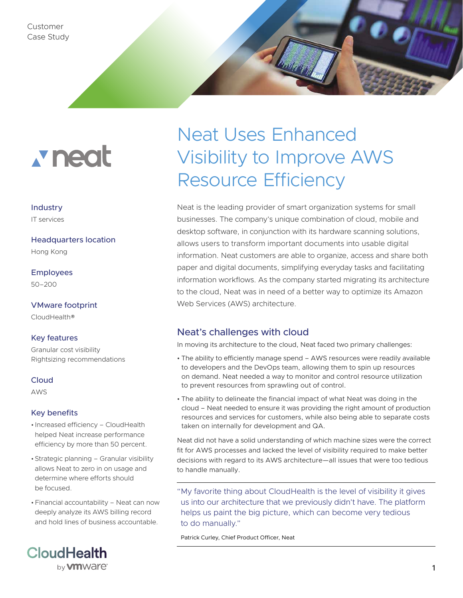Customer Case Study

# **x** neat

### Industry

IT services

Headquarters location

Hong Kong

Employees 50–200

VMware footprint CloudHealth®

#### Key features

Granular cost visibility Rightsizing recommendations

#### Cloud

AWS

#### Key benefits

- Increased efficiency CloudHealth helped Neat increase performance efficiency by more than 50 percent.
- •Strategic planning Granular visibility allows Neat to zero in on usage and determine where efforts should be focused.
- •Financial accountability Neat can now deeply analyze its AWS billing record and hold lines of business accountable.



## Neat Uses Enhanced Visibility to Improve AWS Resource Efficiency

Neat is the leading provider of smart organization systems for small businesses. The company's unique combination of cloud, mobile and desktop software, in conjunction with its hardware scanning solutions, allows users to transform important documents into usable digital information. Neat customers are able to organize, access and share both paper and digital documents, simplifying everyday tasks and facilitating information workflows. As the company started migrating its architecture to the cloud, Neat was in need of a better way to optimize its Amazon Web Services (AWS) architecture.

#### Neat's challenges with cloud

In moving its architecture to the cloud, Neat faced two primary challenges:

- The ability to efficiently manage spend AWS resources were readily available to developers and the DevOps team, allowing them to spin up resources on demand. Neat needed a way to monitor and control resource utilization to prevent resources from sprawling out of control.
- The ability to delineate the financial impact of what Neat was doing in the cloud – Neat needed to ensure it was providing the right amount of production resources and services for customers, while also being able to separate costs taken on internally for development and QA.

Neat did not have a solid understanding of which machine sizes were the correct fit for AWS processes and lacked the level of visibility required to make better decisions with regard to its AWS architecture—all issues that were too tedious to handle manually.

"My favorite thing about CloudHealth is the level of visibility it gives us into our architecture that we previously didn't have. The platform helps us paint the big picture, which can become very tedious to do manually."

Patrick Curley, Chief Product Officer, Neat